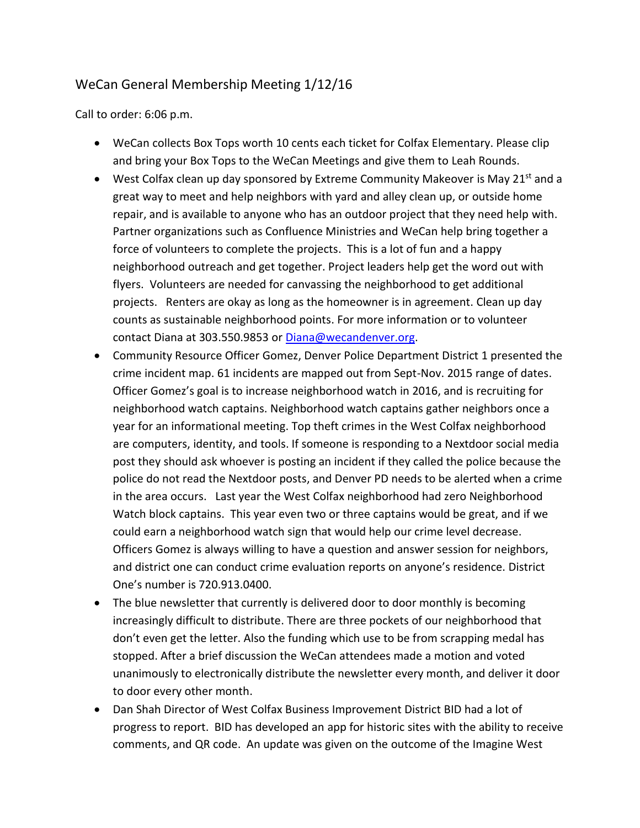## WeCan General Membership Meeting 1/12/16

Call to order: 6:06 p.m.

- WeCan collects Box Tops worth 10 cents each ticket for Colfax Elementary. Please clip and bring your Box Tops to the WeCan Meetings and give them to Leah Rounds.
- West Colfax clean up day sponsored by Extreme Community Makeover is May 21st and a great way to meet and help neighbors with yard and alley clean up, or outside home repair, and is available to anyone who has an outdoor project that they need help with. Partner organizations such as Confluence Ministries and WeCan help bring together a force of volunteers to complete the projects. This is a lot of fun and a happy neighborhood outreach and get together. Project leaders help get the word out with flyers. Volunteers are needed for canvassing the neighborhood to get additional projects. Renters are okay as long as the homeowner is in agreement. Clean up day counts as sustainable neighborhood points. For more information or to volunteer contact Diana at 303.550.9853 or [Diana@wecandenver.org.](mailto:Diana@wecandenver.org)
- Community Resource Officer Gomez, Denver Police Department District 1 presented the crime incident map. 61 incidents are mapped out from Sept-Nov. 2015 range of dates. Officer Gomez's goal is to increase neighborhood watch in 2016, and is recruiting for neighborhood watch captains. Neighborhood watch captains gather neighbors once a year for an informational meeting. Top theft crimes in the West Colfax neighborhood are computers, identity, and tools. If someone is responding to a Nextdoor social media post they should ask whoever is posting an incident if they called the police because the police do not read the Nextdoor posts, and Denver PD needs to be alerted when a crime in the area occurs. Last year the West Colfax neighborhood had zero Neighborhood Watch block captains. This year even two or three captains would be great, and if we could earn a neighborhood watch sign that would help our crime level decrease. Officers Gomez is always willing to have a question and answer session for neighbors, and district one can conduct crime evaluation reports on anyone's residence. District One's number is 720.913.0400.
- The blue newsletter that currently is delivered door to door monthly is becoming increasingly difficult to distribute. There are three pockets of our neighborhood that don't even get the letter. Also the funding which use to be from scrapping medal has stopped. After a brief discussion the WeCan attendees made a motion and voted unanimously to electronically distribute the newsletter every month, and deliver it door to door every other month.
- Dan Shah Director of West Colfax Business Improvement District BID had a lot of progress to report. BID has developed an app for historic sites with the ability to receive comments, and QR code. An update was given on the outcome of the Imagine West